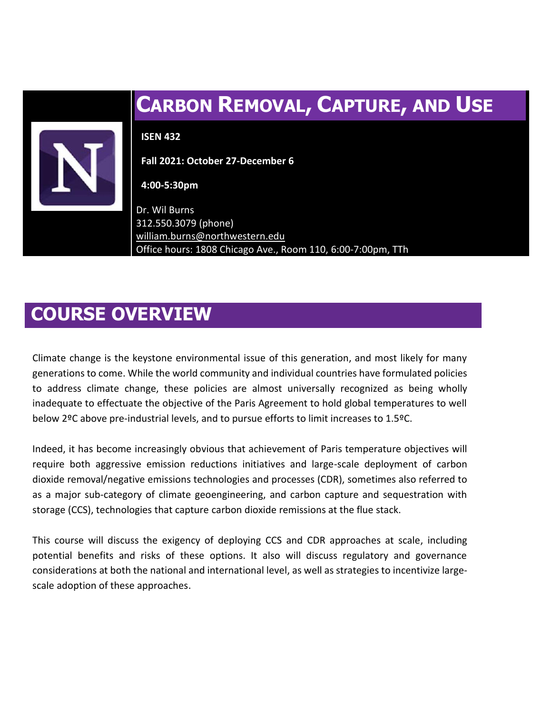

# **COURSE OVERVIEW**

Climate change is the keystone environmental issue of this generation, and most likely for many generations to come. While the world community and individual countries have formulated policies to address climate change, these policies are almost universally recognized as being wholly inadequate to effectuate the objective of the Paris Agreement to hold global temperatures to well below 2ºC above pre-industrial levels, and to pursue efforts to limit increases to 1.5ºC.

Indeed, it has become increasingly obvious that achievement of Paris temperature objectives will require both aggressive emission reductions initiatives and large-scale deployment of carbon dioxide removal/negative emissions technologies and processes (CDR), sometimes also referred to as a major sub-category of climate geoengineering, and carbon capture and sequestration with storage (CCS), technologies that capture carbon dioxide remissions at the flue stack.

This course will discuss the exigency of deploying CCS and CDR approaches at scale, including potential benefits and risks of these options. It also will discuss regulatory and governance considerations at both the national and international level, as well as strategies to incentivize largescale adoption of these approaches.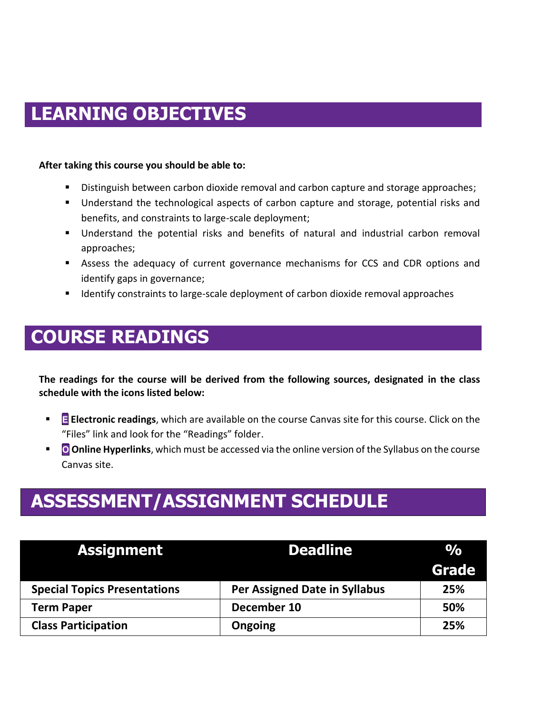# **LEARNING OBJECTIVES**

#### **After taking this course you should be able to:**

- Distinguish between carbon dioxide removal and carbon capture and storage approaches;
- Understand the technological aspects of carbon capture and storage, potential risks and benefits, and constraints to large-scale deployment;
- Understand the potential risks and benefits of natural and industrial carbon removal approaches;
- **EXECT** Assess the adequacy of current governance mechanisms for CCS and CDR options and identify gaps in governance;
- Identify constraints to large-scale deployment of carbon dioxide removal approaches

# **COURSE READINGS**

**The readings for the course will be derived from the following sources, designated in the class schedule with the icons listed below:**

- **E Electronic readings**, which are available on the course Canvas site for this course. Click on the "Files" link and look for the "Readings" folder.
- **Conline Hyperlinks**, which must be accessed via the online version of the Syllabus on the course Canvas site.

# **ASSESSMENT/ASSIGNMENT SCHEDULE**

| <b>Assignment</b>                   | <b>Deadline</b>                      | $\frac{O}{O}$ |
|-------------------------------------|--------------------------------------|---------------|
|                                     |                                      | Grade         |
| <b>Special Topics Presentations</b> | <b>Per Assigned Date in Syllabus</b> | 25%           |
| <b>Term Paper</b>                   | December 10                          | 50%           |
| <b>Class Participation</b>          | <b>Ongoing</b>                       | 25%           |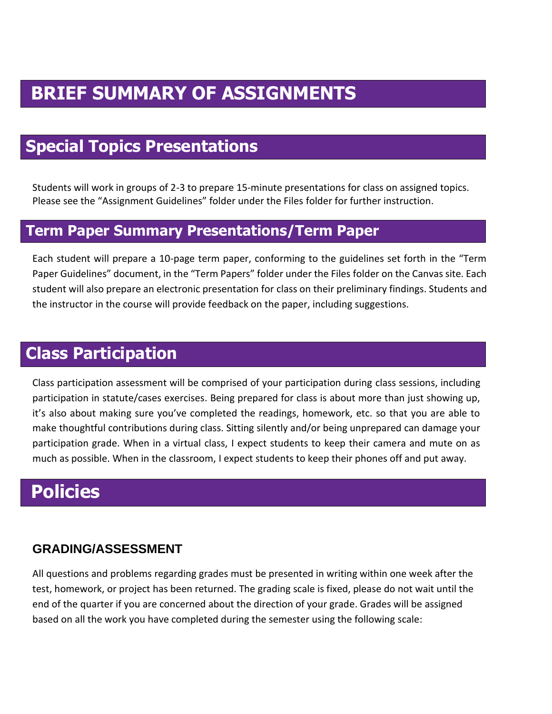# **BRIEF SUMMARY OF ASSIGNMENTS**

# **Special Topics Presentations**

Students will work in groups of 2-3 to prepare 15-minute presentations for class on assigned topics. Please see the "Assignment Guidelines" folder under the Files folder for further instruction.

#### **Term Paper Summary Presentations/Term Paper**

Each student will prepare a 10-page term paper, conforming to the guidelines set forth in the "Term Paper Guidelines" document, in the "Term Papers" folder under the Files folder on the Canvas site. Each student will also prepare an electronic presentation for class on their preliminary findings. Students and the instructor in the course will provide feedback on the paper, including suggestions.

## **Class Participation**

Class participation assessment will be comprised of your participation during class sessions, including participation in statute/cases exercises. Being prepared for class is about more than just showing up, it's also about making sure you've completed the readings, homework, etc. so that you are able to make thoughtful contributions during class. Sitting silently and/or being unprepared can damage your participation grade. When in a virtual class, I expect students to keep their camera and mute on as much as possible. When in the classroom, I expect students to keep their phones off and put away.

# **Policies**

#### **GRADING/ASSESSMENT**

All questions and problems regarding grades must be presented in writing within one week after the test, homework, or project has been returned. The grading scale is fixed, please do not wait until the end of the quarter if you are concerned about the direction of your grade. Grades will be assigned based on all the work you have completed during the semester using the following scale: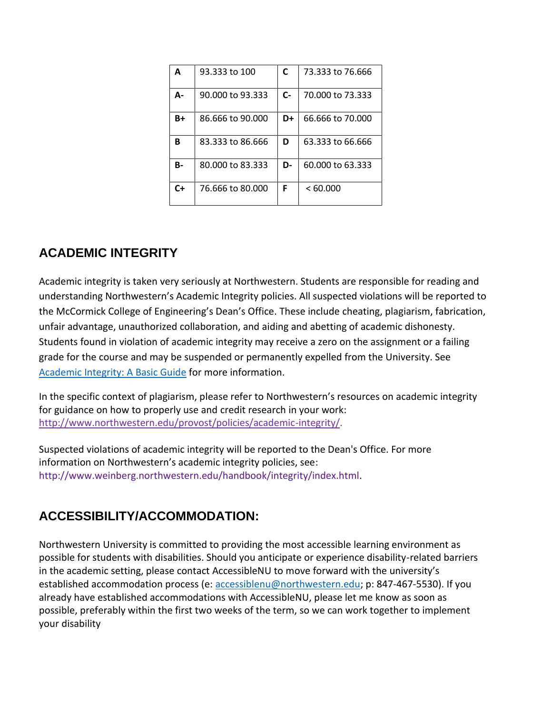| A         | 93.333 to 100    | C    | 73.333 to 76.666 |
|-----------|------------------|------|------------------|
| А-        | 90,000 to 93,333 | $C-$ | 70,000 to 73,333 |
| $B+$      | 86,666 to 90,000 | D+   | 66.666 to 70,000 |
| в         | 83.333 to 86.666 | D    | 63.333 to 66.666 |
| <b>B-</b> | 80,000 to 83,333 | D-   | 60,000 to 63,333 |
| $C+$      | 76.666 to 80,000 | F    | < 60.000         |

### **ACADEMIC INTEGRITY**

Academic integrity is taken very seriously at Northwestern. Students are responsible for reading and understanding Northwestern's Academic Integrity policies. All suspected violations will be reported to the McCormick College of Engineering's Dean's Office. These include cheating, plagiarism, fabrication, unfair advantage, unauthorized collaboration, and aiding and abetting of academic dishonesty. Students found in violation of academic integrity may receive a zero on the assignment or a failing grade for the course and may be suspended or permanently expelled from the University. See [Academic Integrity: A Basic Guide](https://www.northwestern.edu/provost/policies/academic-integrity/Academic-Integrity-Guide-August-2019.pdf) for more information.

In the specific context of plagiarism, please refer to Northwestern's resources on academic integrity for guidance on how to properly use and credit research in your work: [http://www.northwestern.edu/provost/policies/academic-integrity/.](http://www.northwestern.edu/provost/policies/academic-integrity/)

Suspected violations of academic integrity will be reported to the Dean's Office. For more information on Northwestern's academic integrity policies, see: http://www.weinberg.northwestern.edu/handbook/integrity/index.html.

### **ACCESSIBILITY/ACCOMMODATION:**

Northwestern University is committed to providing the most accessible learning environment as possible for students with disabilities. Should you anticipate or experience disability-related barriers in the academic setting, please contact AccessibleNU to move forward with the university's established accommodation process (e: [accessiblenu@northwestern.edu;](mailto:accessiblenu@northwestern.edu) p: 847-467-5530). If you already have established accommodations with AccessibleNU, please let me know as soon as possible, preferably within the first two weeks of the term, so we can work together to implement your disability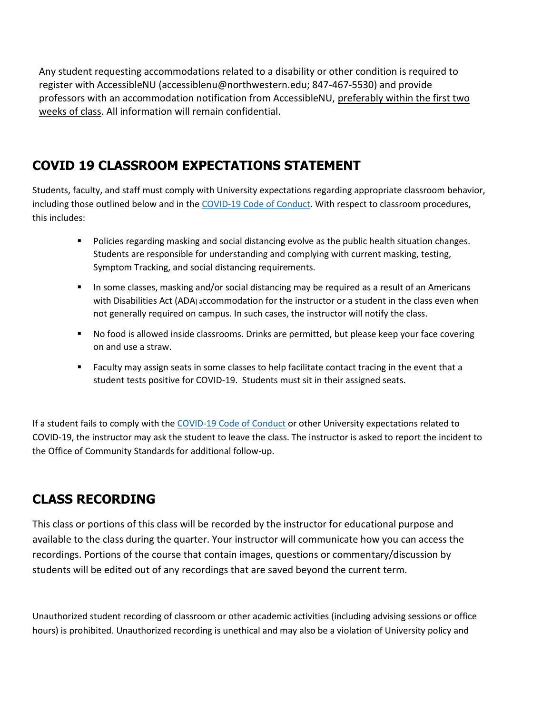Any student requesting accommodations related to a disability or other condition is required to register with AccessibleNU (accessiblenu@northwestern.edu; 847-467-5530) and provide professors with an accommodation notification from AccessibleNU, preferably within the first two weeks of class. All information will remain confidential.

### **COVID 19 CLASSROOM EXPECTATIONS STATEMENT**

Students, faculty, and staff must comply with University expectations regarding appropriate classroom behavior, including those outlined below and in the [COVID-19 Code of Conduct.](https://www.northwestern.edu/communitystandards/about-us/northwestern-university-student-expectations-covid-19-code-of-conduct.html) With respect to classroom procedures, this includes:

- Policies regarding masking and social distancing evolve as the public health situation changes. Students are responsible for understanding and complying with current masking, testing, Symptom Tracking, and social distancing requirements.
- **■** In some classes, masking and/or social distancing may be required as a result of an Americans with Disabilities Act (ADA) accommodation for the instructor or a student in the class even when not generally required on campus. In such cases, the instructor will notify the class.
- No food is allowed inside classrooms. Drinks are permitted, but please keep your face covering on and use a straw.
- Faculty may assign seats in some classes to help facilitate contact tracing in the event that a student tests positive for COVID-19. Students must sit in their assigned seats.

If a student fails to comply with th[e COVID-19 Code of Conduct](https://www.northwestern.edu/communitystandards/about-us/northwestern-university-student-expectations-covid-19-code-of-conduct.html) or other University expectations related to COVID-19, the instructor may ask the student to leave the class. The instructor is asked to report the incident to the Office of Community Standards for additional follow-up.

### **CLASS RECORDING**

This class or portions of this class will be recorded by the instructor for educational purpose and available to the class during the quarter. Your instructor will communicate how you can access the recordings. Portions of the course that contain images, questions or commentary/discussion by students will be edited out of any recordings that are saved beyond the current term.

Unauthorized student recording of classroom or other academic activities (including advising sessions or office hours) is prohibited. Unauthorized recording is unethical and may also be a violation of University policy and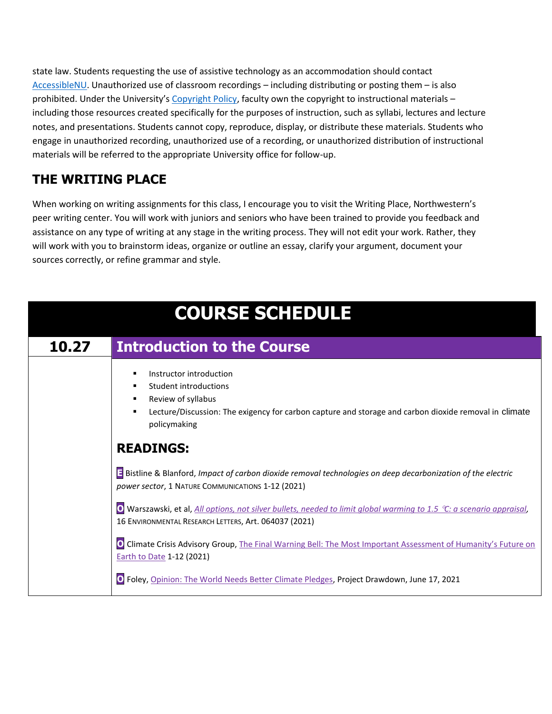state law. Students requesting the use of assistive technology as an accommodation should contact [AccessibleNU.](https://www.northwestern.edu/accessiblenu/) Unauthorized use of classroom recordings – including distributing or posting them – is also prohibited. Under the University's [Copyright Policy,](https://www.invo.northwestern.edu/invention-disclosure/policies-forms/copyright-policy/) faculty own the copyright to instructional materials including those resources created specifically for the purposes of instruction, such as syllabi, lectures and lecture notes, and presentations. Students cannot copy, reproduce, display, or distribute these materials. Students who engage in unauthorized recording, unauthorized use of a recording, or unauthorized distribution of instructional materials will be referred to the appropriate University office for follow-up.

### **THE WRITING PLACE**

When working on writing assignments for this class, I encourage you to visit the Writing Place, Northwestern's peer writing center. You will work with juniors and seniors who have been trained to provide you feedback and assistance on any type of writing at any stage in the writing process. They will not edit your work. Rather, they will work with you to brainstorm ideas, organize or outline an essay, clarify your argument, document your sources correctly, or refine grammar and style.

| <b>COURSE SCHEDULE</b> |                                                                                                                                                                                                                     |
|------------------------|---------------------------------------------------------------------------------------------------------------------------------------------------------------------------------------------------------------------|
| 10.27                  | <b>Introduction to the Course</b>                                                                                                                                                                                   |
|                        | Instructor introduction<br>п<br>Student introductions<br>٠<br>Review of syllabus<br>٠<br>Lecture/Discussion: The exigency for carbon capture and storage and carbon dioxide removal in climate<br>٠<br>policymaking |
|                        | <b>READINGS:</b>                                                                                                                                                                                                    |
|                        | Bistline & Blanford, Impact of carbon dioxide removal technologies on deep decarbonization of the electric<br>power sector, 1 NATURE COMMUNICATIONS 1-12 (2021)                                                     |
|                        | O Warszawski, et al, All options, not silver bullets, needed to limit global warming to 1.5 °C: a scenario appraisal,<br>16 ENVIRONMENTAL RESEARCH LETTERS, Art. 064037 (2021)                                      |
|                        | O Climate Crisis Advisory Group, The Final Warning Bell: The Most Important Assessment of Humanity's Future on<br><b>Earth to Date 1-12 (2021)</b>                                                                  |
|                        | O Foley, Opinion: The World Needs Better Climate Pledges, Project Drawdown, June 17, 2021                                                                                                                           |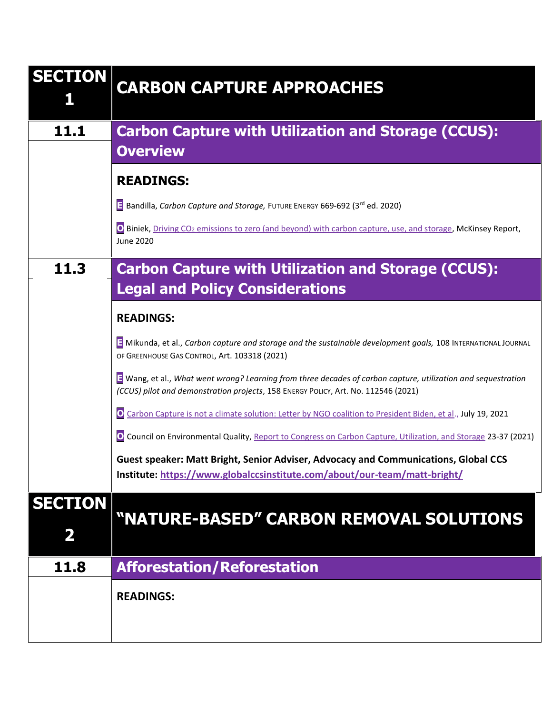| <b>SECTION</b>      | <b>CARBON CAPTURE APPROACHES</b>                                                                                                                                                                    |
|---------------------|-----------------------------------------------------------------------------------------------------------------------------------------------------------------------------------------------------|
| 11.1                | <b>Carbon Capture with Utilization and Storage (CCUS):</b><br><b>Overview</b>                                                                                                                       |
|                     | <b>READINGS:</b>                                                                                                                                                                                    |
|                     | Bandilla, Carbon Capture and Storage, FUTURE ENERGY 669-692 (3rd ed. 2020)                                                                                                                          |
|                     | O Biniek, Driving CO <sub>2</sub> emissions to zero (and beyond) with carbon capture, use, and storage, McKinsey Report,<br><b>June 2020</b>                                                        |
| 11.3                | <b>Carbon Capture with Utilization and Storage (CCUS):</b>                                                                                                                                          |
|                     | <b>Legal and Policy Considerations</b>                                                                                                                                                              |
|                     | <b>READINGS:</b>                                                                                                                                                                                    |
|                     | Mikunda, et al., Carbon capture and storage and the sustainable development goals, 108 INTERNATIONAL JOURNAL<br>OF GREENHOUSE GAS CONTROL, Art. 103318 (2021)                                       |
|                     | E Wang, et al., What went wrong? Learning from three decades of carbon capture, utilization and sequestration<br>(CCUS) pilot and demonstration projects, 158 ENERGY POLICY, Art. No. 112546 (2021) |
|                     | O Carbon Capture is not a climate solution: Letter by NGO coalition to President Biden, et al., July 19, 2021                                                                                       |
|                     | O Council on Environmental Quality, Report to Congress on Carbon Capture, Utilization, and Storage 23-37 (2021)                                                                                     |
|                     | Guest speaker: Matt Bright, Senior Adviser, Advocacy and Communications, Global CCS<br>Institute: https://www.globalccsinstitute.com/about/our-team/matt-bright/                                    |
| <b>SECTION</b><br>2 | "NATURE-BASED" CARBON REMOVAL SOLUTIONS                                                                                                                                                             |
| 11.8                | <b>Afforestation/Reforestation</b>                                                                                                                                                                  |
|                     | <b>READINGS:</b>                                                                                                                                                                                    |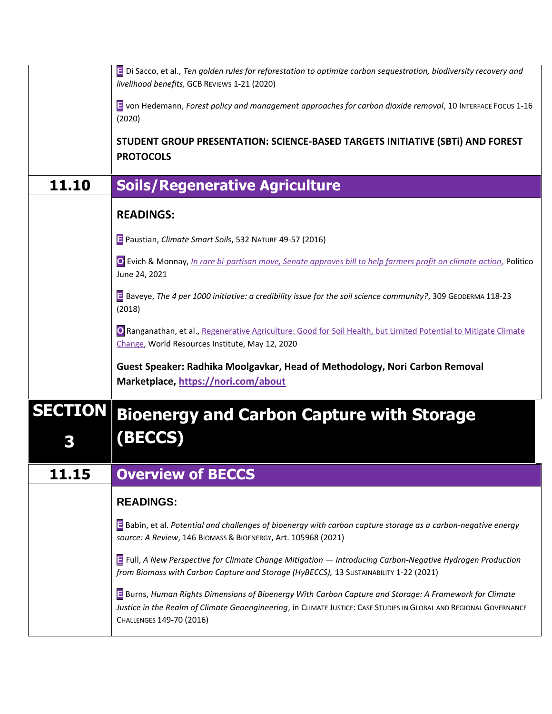|                | E Di Sacco, et al., Ten golden rules for reforestation to optimize carbon sequestration, biodiversity recovery and<br>livelihood benefits, GCB REVIEWS 1-21 (2020)                                                                                       |
|----------------|----------------------------------------------------------------------------------------------------------------------------------------------------------------------------------------------------------------------------------------------------------|
|                | T von Hedemann, Forest policy and management approaches for carbon dioxide removal, 10 INTERFACE FOCUS 1-16<br>(2020)                                                                                                                                    |
|                | STUDENT GROUP PRESENTATION: SCIENCE-BASED TARGETS INITIATIVE (SBTI) AND FOREST<br><b>PROTOCOLS</b>                                                                                                                                                       |
| 11.10          | <b>Soils/Regenerative Agriculture</b>                                                                                                                                                                                                                    |
|                | <b>READINGS:</b>                                                                                                                                                                                                                                         |
|                | Paustian, Climate Smart Soils, 532 NATURE 49-57 (2016)                                                                                                                                                                                                   |
|                | O Evich & Monnay, <i>In rare bi-partisan move, Senate approves bill to help farmers profit on climate action</i> , Politico<br>June 24, 2021                                                                                                             |
|                | E Baveye, The 4 per 1000 initiative: a credibility issue for the soil science community?, 309 GEODERMA 118-23<br>(2018)                                                                                                                                  |
|                | O Ranganathan, et al., Regenerative Agriculture: Good for Soil Health, but Limited Potential to Mitigate Climate<br>Change, World Resources Institute, May 12, 2020                                                                                      |
|                | Guest Speaker: Radhika Moolgavkar, Head of Methodology, Nori Carbon Removal<br>Marketplace, https://nori.com/about                                                                                                                                       |
| <b>SECTION</b> | <b>Bioenergy and Carbon Capture with Storage</b><br><b>BECOS</b>                                                                                                                                                                                         |
| 11.15          | <b>Overview of BECCS</b>                                                                                                                                                                                                                                 |
|                | <b>READINGS:</b>                                                                                                                                                                                                                                         |
|                | E Babin, et al. Potential and challenges of bioenergy with carbon capture storage as a carbon-negative energy<br>source: A Review, 146 BIOMASS & BIOENERGY, Art. 105968 (2021)                                                                           |
|                | Full, A New Perspective for Climate Change Mitigation - Introducing Carbon-Negative Hydrogen Production<br>from Biomass with Carbon Capture and Storage (HyBECCS), 13 SUSTAINABILITY 1-22 (2021)                                                         |
|                | E Burns, Human Rights Dimensions of Bioenergy With Carbon Capture and Storage: A Framework for Climate<br>Justice in the Realm of Climate Geoengineering, in CLIMATE JUSTICE: CASE STUDIES IN GLOBAL AND REGIONAL GOVERNANCE<br>CHALLENGES 149-70 (2016) |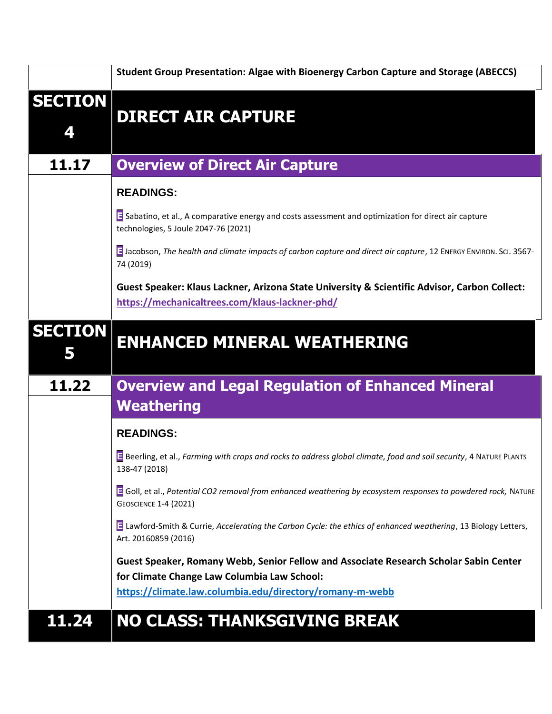|                     | Student Group Presentation: Algae with Bioenergy Carbon Capture and Storage (ABECCS)                                                           |
|---------------------|------------------------------------------------------------------------------------------------------------------------------------------------|
| <b>SECTION</b>      | <b>DIRECT AIR CAPTURE</b>                                                                                                                      |
| 11.17               | <b>Overview of Direct Air Capture</b>                                                                                                          |
|                     | <b>READINGS:</b>                                                                                                                               |
|                     | Sabatino, et al., A comparative energy and costs assessment and optimization for direct air capture<br>technologies, 5 Joule 2047-76 (2021)    |
|                     | B Jacobson, The health and climate impacts of carbon capture and direct air capture, 12 ENERGY ENVIRON. SCI. 3567-<br>74 (2019)                |
|                     | Guest Speaker: Klaus Lackner, Arizona State University & Scientific Advisor, Carbon Collect:<br>https://mechanicaltrees.com/klaus-lackner-phd/ |
| <b>SECTION</b><br>5 | <b>ENHANCED MINERAL WEATHERING</b>                                                                                                             |
| 11.22               | <b>Overview and Legal Regulation of Enhanced Mineral</b><br><b>Weathering</b>                                                                  |
|                     |                                                                                                                                                |
|                     | <b>READINGS:</b>                                                                                                                               |
|                     | E Beerling, et al., Farming with crops and rocks to address global climate, food and soil security, 4 NATURE PLANTS<br>138-47 (2018)           |
|                     | Goll, et al., Potential CO2 removal from enhanced weathering by ecosystem responses to powdered rock, NATURE<br><b>GEOSCIENCE 1-4 (2021)</b>   |
|                     | E Lawford-Smith & Currie, Accelerating the Carbon Cycle: the ethics of enhanced weathering, 13 Biology Letters,<br>Art. 20160859 (2016)        |
|                     | Guest Speaker, Romany Webb, Senior Fellow and Associate Research Scholar Sabin Center                                                          |
|                     | for Climate Change Law Columbia Law School:                                                                                                    |
|                     | https://climate.law.columbia.edu/directory/romany-m-webb                                                                                       |
| 11.24               |                                                                                                                                                |

and the control